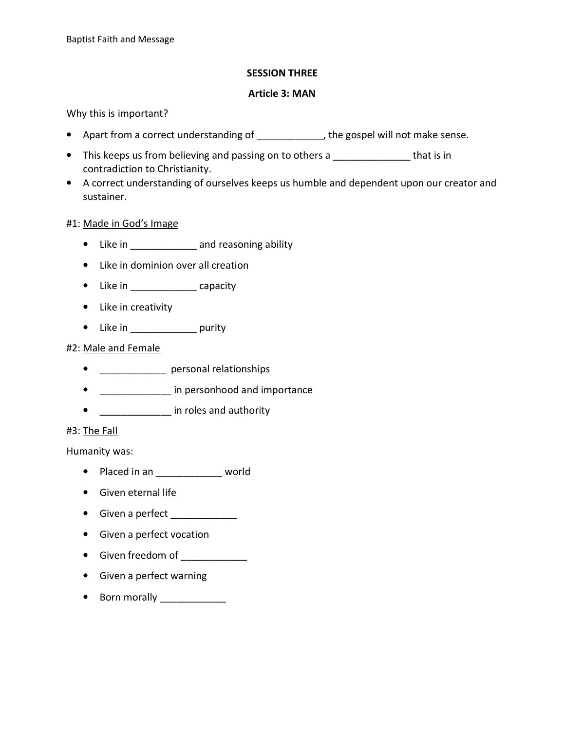## SESSION THREE

#### Article 3: MAN

#### Why this is important?

- Apart from a correct understanding of  $\qquad \qquad$ , the gospel will not make sense.
- This keeps us from believing and passing on to others a \_\_\_\_\_\_\_\_\_\_\_\_\_\_\_ that is in contradiction to Christianity.
- A correct understanding of ourselves keeps us humble and dependent upon our creator and sustainer.

#### #1: Made in God's Image

- Like in \_\_\_\_\_\_\_\_\_\_\_\_\_ and reasoning ability
- Like in dominion over all creation
- Like in \_\_\_\_\_\_\_\_\_\_\_\_\_\_\_\_ capacity
- Like in creativity
- Like in **purity**

# #2: Male and Female

- \_\_\_\_\_\_\_\_\_\_\_\_\_\_ personal relationships
- **\_\_\_\_\_\_\_\_\_\_\_\_\_** in personhood and importance
- \_\_\_\_\_\_\_\_\_\_\_\_\_\_\_ in roles and authority

## #3: The Fall

Humanity was:

- Placed in an \_\_\_\_\_\_\_\_\_\_\_\_\_\_\_ world
- Given eternal life
- Given a perfect
- Given a perfect vocation
- Given freedom of
- Given a perfect warning
- Born morally \_\_\_\_\_\_\_\_\_\_\_\_\_